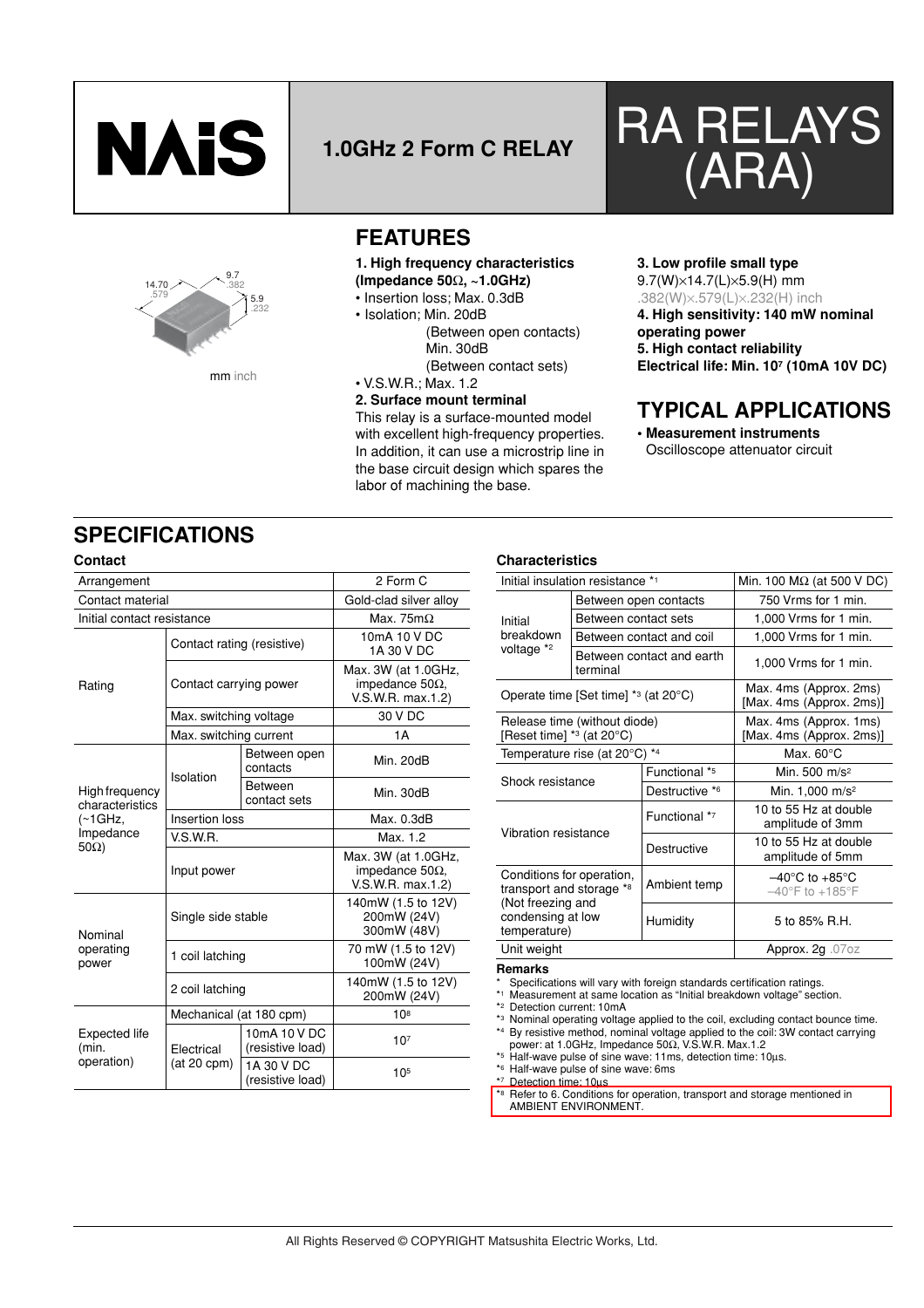



# RA RELAYS 1.0GHz 2 Form C RELAY **(ARA)**



mm inch

## **FEATURES**

### **1. High frequency characteristics (Impedance 50**Ω**, ~1.0GHz)**

- Insertion loss; Max. 0.3dB
- Isolation; Min. 20dB
	- (Between open contacts) Min. 30dB (Between contact sets)

• V.S.W.R.; Max. 1.2

### **2. Surface mount terminal**

This relay is a surface-mounted model with excellent high-frequency properties. In addition, it can use a microstrip line in the base circuit design which spares the labor of machining the base.

### **3. Low profile small type** 9.7(W)×14.7(L)×5.9(H) mm

.382(W)×.579(L)×.232(H) inch

**4. High sensitivity: 140 mW nominal operating power 5. High contact reliability Electrical life: Min. 107 (10mA 10V DC)**

## **TYPICAL APPLICATIONS**

**• Measurement instruments** Oscilloscope attenuator circuit

## **SPECIFICATIONS**

| Arrangement                          | 2 Form C                   |                                  |                                                                     |  |  |
|--------------------------------------|----------------------------|----------------------------------|---------------------------------------------------------------------|--|--|
| Contact material                     |                            | Gold-clad silver alloy           |                                                                     |  |  |
| Initial contact resistance           |                            |                                  | Max. 75 $m\Omega$                                                   |  |  |
| Rating                               | Contact rating (resistive) |                                  | 10mA 10 V DC<br>1A 30 V DC                                          |  |  |
|                                      | Contact carrying power     |                                  | Max. 3W (at 1.0GHz,<br>impedance 50 $\Omega$ ,<br>V.S.W.R. max.1.2) |  |  |
|                                      | Max. switching voltage     |                                  | 30 V DC                                                             |  |  |
|                                      | Max. switching current     |                                  | 1 A                                                                 |  |  |
| High frequency<br>characteristics    | Isolation                  | Between open<br>contacts         | Min. 20dB                                                           |  |  |
|                                      |                            | <b>Between</b><br>contact sets   | Min. 30dB                                                           |  |  |
| $(\sim 1$ GHz,                       | Insertion loss             |                                  | Max. 0.3dB                                                          |  |  |
| Impedance                            | V.S.W.R.                   |                                  | Max. 1.2                                                            |  |  |
| $50\Omega$                           | Input power                |                                  | Max. 3W (at 1.0GHz,<br>impedance 50 $\Omega$ ,<br>V.S.W.R. max.1.2) |  |  |
| Nominal<br>operating<br>power        | Single side stable         |                                  | 140mW (1.5 to 12V)<br>200mW (24V)<br>300mW (48V)                    |  |  |
|                                      | 1 coil latching            |                                  | 70 mW (1.5 to 12V)<br>100mW (24V)                                   |  |  |
|                                      | 2 coil latching            |                                  | 140mW (1.5 to 12V)<br>200mW (24V)                                   |  |  |
| Expected life<br>(min.<br>operation) | Mechanical (at 180 cpm)    |                                  | 10 <sup>8</sup>                                                     |  |  |
|                                      | Electrical                 | 10mA 10 V DC<br>(resistive load) | 10 <sup>7</sup>                                                     |  |  |
|                                      | $(at 20$ cpm $)$           | 1A 30 V DC<br>(resistive load)   | 10 <sup>5</sup>                                                     |  |  |

### **Contact Characteristics Contact Characteristics**

| Initial insulation resistance *1                                                                                |                      | Min. 100 $\text{M}\Omega$ (at 500 V DC) |                                                                            |  |  |
|-----------------------------------------------------------------------------------------------------------------|----------------------|-----------------------------------------|----------------------------------------------------------------------------|--|--|
|                                                                                                                 |                      | Between open contacts                   | 750 Vrms for 1 min.                                                        |  |  |
| Initial                                                                                                         | Between contact sets |                                         | 1,000 Vrms for 1 min.                                                      |  |  |
| breakdown                                                                                                       |                      | Between contact and coil                | 1,000 Vrms for 1 min.                                                      |  |  |
| voltage *2                                                                                                      | terminal             | Between contact and earth               | 1,000 Vrms for 1 min.                                                      |  |  |
| Operate time [Set time] $*$ <sup>3</sup> (at 20 $^{\circ}$ C)                                                   |                      |                                         | Max. 4ms (Approx. 2ms)<br>[Max. 4ms (Approx. 2ms)]                         |  |  |
| Release time (without diode)<br>[Reset time] $*$ <sup>3</sup> (at 20 $^{\circ}$ C)                              |                      |                                         | Max. 4ms (Approx. 1ms)<br>[Max. 4ms (Approx. 2ms)]                         |  |  |
| Temperature rise (at 20°C) *4                                                                                   |                      |                                         | Max. $60^{\circ}$ C                                                        |  |  |
| Shock resistance                                                                                                |                      | Functional *5                           | Min. 500 m/s <sup>2</sup>                                                  |  |  |
|                                                                                                                 |                      | Destructive *6                          | Min. 1,000 m/s <sup>2</sup>                                                |  |  |
| Vibration resistance                                                                                            |                      | Functional *7                           | 10 to 55 Hz at double<br>amplitude of 3mm                                  |  |  |
|                                                                                                                 |                      | Destructive                             | 10 to 55 Hz at double<br>amplitude of 5mm                                  |  |  |
| Conditions for operation,<br>transport and storage *8<br>(Not freezing and<br>condensing at low<br>temperature) |                      | Ambient temp                            | $-40^{\circ}$ C to $+85^{\circ}$ C<br>$-40^{\circ}$ F to +185 $^{\circ}$ F |  |  |
|                                                                                                                 |                      | Humidity                                | 5 to 85% R.H.                                                              |  |  |
| Unit weight                                                                                                     |                      |                                         | Approx. $2g$ . 07 oz                                                       |  |  |

### **Remarks**

\* Specifications will vary with foreign standards certification ratings.

\*1 Measurement at same location as "Initial breakdown voltage" section.

\*2 Detection current: 10mA

\*3 Nominal operating voltage applied to the coil, excluding contact bounce time. \*4 By resistive method, nominal voltage applied to the coil: 3W contact carrying

- power: at 1.0GHz, Impedance 50Ω, V.S.W.R. Max.1.2 \*5 Half-wave pulse of sine wave: 11ms, detection time: 10µs.
- \*6 Half-wave pulse of sine wave: 6ms

\*7 Detection time: 10µs

\*8 Refer to 6. Conditions for operation, transport and storage mentioned in AMBIENT ENVIRONMENT.

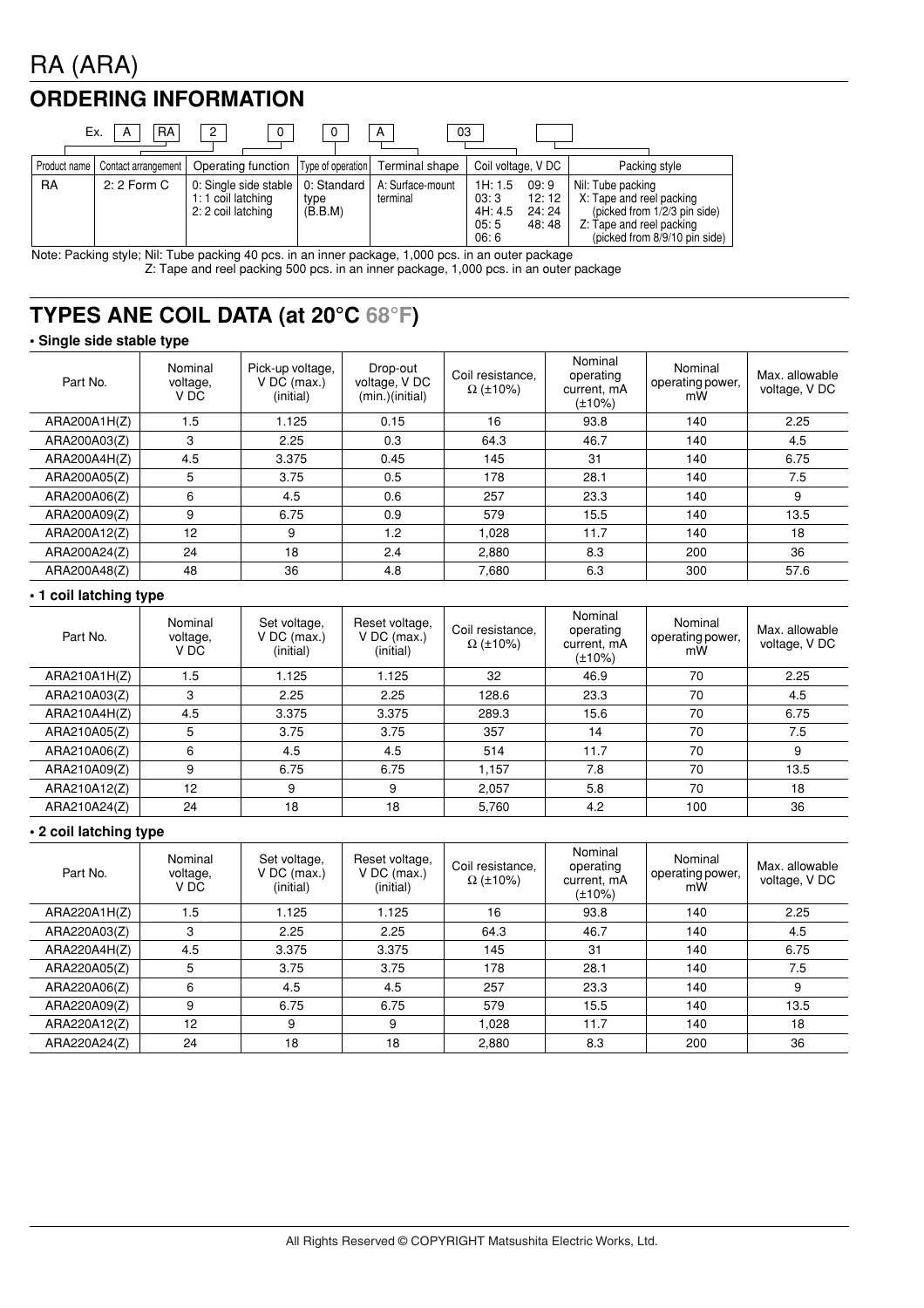# RA (ARA)

## **ORDERING INFORMATION**

| <b>RA</b><br>03<br>Ex.<br>2<br>A<br>А |                     |                                                                   |                                |                              |                                                                               |                                                                                                                                            |  |  |
|---------------------------------------|---------------------|-------------------------------------------------------------------|--------------------------------|------------------------------|-------------------------------------------------------------------------------|--------------------------------------------------------------------------------------------------------------------------------------------|--|--|
| Product name                          | Contact arrangement | Operating function   Type of operation                            |                                | Terminal shape               | Coil voltage, V DC                                                            | Packing style                                                                                                                              |  |  |
| <b>RA</b>                             | $2:2$ Form C        | 0: Single side stable<br>1: 1 coil latching<br>2: 2 coil latching | 0: Standard<br>type<br>(B.B.M) | A: Surface-mount<br>terminal | 1H: 1.5<br>09:9<br>03:3<br>12:12<br>4H: 4.5<br>24:24<br>05:5<br>48:48<br>06:6 | Nil: Tube packing<br>X: Tape and reel packing<br>(picked from 1/2/3 pin side)<br>Z: Tape and reel packing<br>(picked from 8/9/10 pin side) |  |  |

Note: Packing style; Nil: Tube packing 40 pcs. in an inner package, 1,000 pcs. in an outer package Z: Tape and reel packing 500 pcs. in an inner package, 1,000 pcs. in an outer package

## **TYPES ANE COIL DATA (at 20°C 68°F)**

### **• Single side stable type**

| Part No.     | Nominal<br>voltage,<br>V DC | Pick-up voltage.<br>$V$ DC (max.)<br>(initial) | Drop-out<br>voltage, V DC<br>(min.)(initial) | Coil resistance.<br>$\Omega$ (±10%) | Nominal<br>operating<br>current, mA<br>$(\pm 10\%)$ | Nominal<br>operating power,<br>mW | Max. allowable<br>voltage, V DC |
|--------------|-----------------------------|------------------------------------------------|----------------------------------------------|-------------------------------------|-----------------------------------------------------|-----------------------------------|---------------------------------|
| ARA200A1H(Z) | 1.5                         | 1.125                                          | 0.15                                         | 16                                  | 93.8                                                | 140                               | 2.25                            |
| ARA200A03(Z) | 3                           | 2.25                                           | 0.3                                          | 64.3                                | 46.7                                                | 140                               | 4.5                             |
| ARA200A4H(Z) | 4.5                         | 3.375                                          | 0.45                                         | 145                                 | 31                                                  | 140                               | 6.75                            |
| ARA200A05(Z) | 5                           | 3.75                                           | 0.5                                          | 178                                 | 28.1                                                | 140                               | 7.5                             |
| ARA200A06(Z) | 6                           | 4.5                                            | 0.6                                          | 257                                 | 23.3                                                | 140                               | 9                               |
| ARA200A09(Z) | 9                           | 6.75                                           | 0.9                                          | 579                                 | 15.5                                                | 140                               | 13.5                            |
| ARA200A12(Z) | 12                          | 9                                              | 1.2                                          | 1.028                               | 11.7                                                | 140                               | 18                              |
| ARA200A24(Z) | 24                          | 18                                             | 2.4                                          | 2.880                               | 8.3                                                 | 200                               | 36                              |
| ARA200A48(Z) | 48                          | 36                                             | 4.8                                          | 7,680                               | 6.3                                                 | 300                               | 57.6                            |

### **• 1 coil latching type**

| Part No.     | Nominal<br>voltage,<br>V DC | Set voltage,<br>$V$ DC (max.)<br>(initial) | Reset voltage,<br>$V$ DC (max.)<br>(initial) | Coil resistance,<br>$\Omega$ (±10%) | Nominal<br>operating<br>current, mA<br>$(\pm 10\%)$ | Nominal<br>operating power,<br>mW | Max. allowable<br>voltage, V DC |
|--------------|-----------------------------|--------------------------------------------|----------------------------------------------|-------------------------------------|-----------------------------------------------------|-----------------------------------|---------------------------------|
| ARA210A1H(Z) | 1.5                         | 1.125                                      | 1.125                                        | 32                                  | 46.9                                                | 70                                | 2.25                            |
| ARA210A03(Z) | 3                           | 2.25                                       | 2.25                                         | 128.6                               | 23.3                                                | 70                                | 4.5                             |
| ARA210A4H(Z) | 4.5                         | 3.375                                      | 3.375                                        | 289.3                               | 15.6                                                | 70                                | 6.75                            |
| ARA210A05(Z) | 5                           | 3.75                                       | 3.75                                         | 357                                 | 14                                                  | 70                                | 7.5                             |
| ARA210A06(Z) | 6                           | 4.5                                        | 4.5                                          | 514                                 | 11.7                                                | 70                                | 9                               |
| ARA210A09(Z) | 9                           | 6.75                                       | 6.75                                         | 1.157                               | 7.8                                                 | 70                                | 13.5                            |
| ARA210A12(Z) | 12                          | 9                                          | 9                                            | 2.057                               | 5.8                                                 | 70                                | 18                              |
| ARA210A24(Z) | 24                          | 18                                         | 18                                           | 5.760                               | 4.2                                                 | 100                               | 36                              |

### **• 2 coil latching type**

| Part No.     | Nominal<br>voltage,<br>V DC | Set voltage,<br>$V$ DC (max.)<br>(initial) | Reset voltage,<br>$V$ DC (max.)<br>(initial) | Coil resistance,<br>$\Omega$ (±10%) | Nominal<br>operating<br>current, mA<br>$(\pm 10\%)$ | Nominal<br>operating power,<br>mW | Max. allowable<br>voltage, V DC |
|--------------|-----------------------------|--------------------------------------------|----------------------------------------------|-------------------------------------|-----------------------------------------------------|-----------------------------------|---------------------------------|
| ARA220A1H(Z) | 1.5                         | 1.125                                      | 1.125                                        | 16                                  | 93.8                                                | 140                               | 2.25                            |
| ARA220A03(Z) | 3                           | 2.25                                       | 2.25                                         | 64.3                                | 46.7                                                | 140                               | 4.5                             |
| ARA220A4H(Z) | 4.5                         | 3.375                                      | 3.375                                        | 145                                 | 31                                                  | 140                               | 6.75                            |
| ARA220A05(Z) | 5                           | 3.75                                       | 3.75                                         | 178                                 | 28.1                                                | 140                               | 7.5                             |
| ARA220A06(Z) | 6                           | 4.5                                        | 4.5                                          | 257                                 | 23.3                                                | 140                               | 9                               |
| ARA220A09(Z) | 9                           | 6.75                                       | 6.75                                         | 579                                 | 15.5                                                | 140                               | 13.5                            |
| ARA220A12(Z) | 12                          | 9                                          | 9                                            | 1.028                               | 11.7                                                | 140                               | 18                              |
| ARA220A24(Z) | 24                          | 18                                         | 18                                           | 2,880                               | 8.3                                                 | 200                               | 36                              |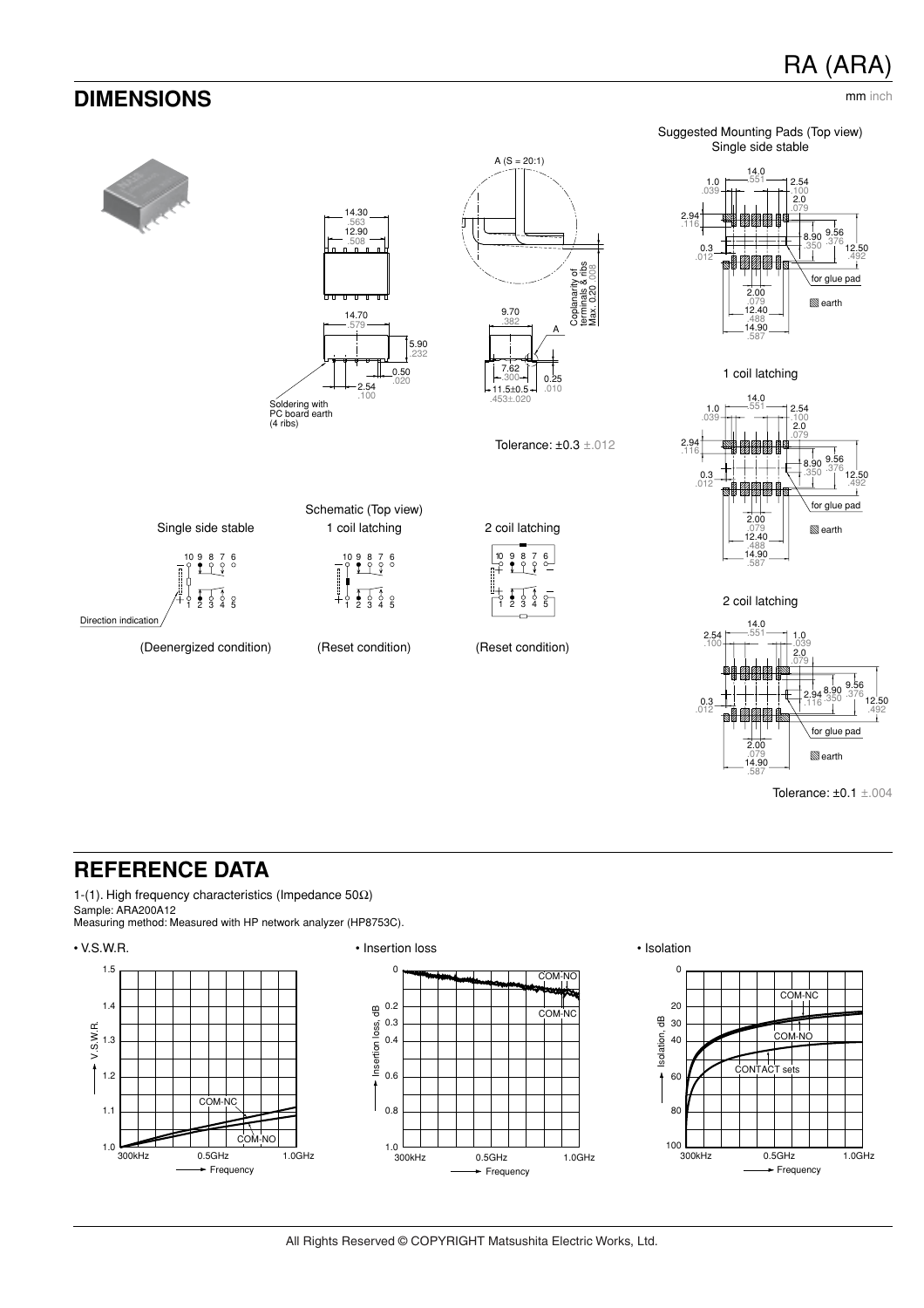## RA (ARA)



## **REFERENCE DATA**

1-(1). High frequency characteristics (Impedance 50Ω) Sample: ARA200A12

Measuring method: Measured with HP network analyzer (HP8753C).







2.00 .079 14.90

.587

Tolerance: ±0.1 ±.004

**S**earth

glue pad